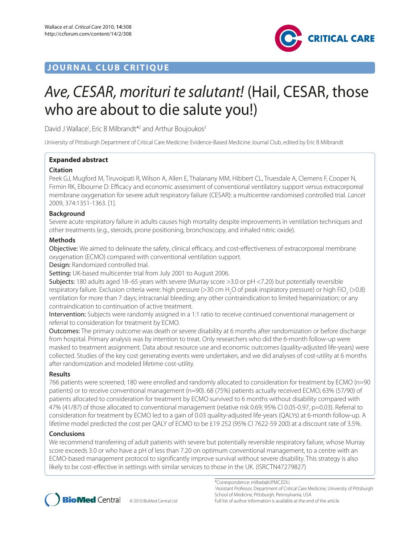# **JOURNAL CLUB CRITIQUE**



# Ave, CESAR, morituri te salutant! (Hail, CESAR, those who are about to die salute you!)

David J Wallace<sup>1</sup>, Eric B Milbrandt<sup>\*2</sup> and Arthur Boujoukos<sup>3</sup>

University of Pittsburgh Department of Critical Care Medicine: Evidence-Based Medicine Journal Club, edited by Eric B Milbrandt

# **Expanded abstract**

# **Citation**

Peek GJ, Mugford M, Tiruvoipati R, Wilson A, Allen E, Thalanany MM, Hibbert CL, Truesdale A, Clemens F, Cooper N, Firmin RK, Elbourne D: Efficacy and economic assessment of conventional ventilatory support versus extracorporeal membrane oxygenation for severe adult respiratory failure (CESAR): a multicentre randomised controlled trial. Lancet 2009, 374:1351-1363. [1].

# **Background**

Severe acute respiratory failure in adults causes high mortality despite improvements in ventilation techniques and other treatments (e.g., steroids, prone positioning, bronchoscopy, and inhaled nitric oxide).

# **Methods**

Objective: We aimed to delineate the safety, clinical efficacy, and cost-effectiveness of extracorporeal membrane oxygenation (ECMO) compared with conventional ventilation support.

Design: Randomized controlled trial.

Setting: UK-based multicenter trial from July 2001 to August 2006.

Subjects: 180 adults aged 18–65 years with severe (Murray score >3.0 or pH <7.20) but potentially reversible respiratory failure. Exclusion criteria were: high pressure (>30 cm H<sub>2</sub>O of peak inspiratory pressure) or high FiO<sub>2</sub> (>0.8) ventilation for more than 7 days; intracranial bleeding; any other contraindication to limited heparinization; or any contraindication to continuation of active treatment.

Intervention: Subjects were randomly assigned in a 1:1 ratio to receive continued conventional management or referral to consideration for treatment by ECMO.

Outcomes: The primary outcome was death or severe disability at 6 months after randomization or before discharge from hospital. Primary analysis was by intention to treat. Only researchers who did the 6-month follow-up were masked to treatment assignment. Data about resource use and economic outcomes (quality-adjusted life-years) were collected. Studies of the key cost generating events were undertaken, and we did analyses of cost-utility at 6 months after randomization and modeled lifetime cost-utility.

# **Results**

766 patients were screened; 180 were enrolled and randomly allocated to consideration for treatment by ECMO (n=90 patients) or to receive conventional management (n=90). 68 (75%) patients actually received ECMO; 63% (57/90) of patients allocated to consideration for treatment by ECMO survived to 6 months without disability compared with 47% (41/87) of those allocated to conventional management (relative risk 0.69; 95% CI 0.05-0.97, p=0.03). Referral to consideration for treatment by ECMO led to a gain of 0.03 quality-adjusted life-years (QALYs) at 6-month follow-up. A lifetime model predicted the cost per QALY of ECMO to be £19 252 (95% CI 7622-59 200) at a discount rate of 3.5%.

# **Conclusions**

We recommend transferring of adult patients with severe but potentially reversible respiratory failure, whose Murray score exceeds 3.0 or who have a pH of less than 7.20 on optimum conventional management, to a centre with an ECMO-based management protocol to significantly improve survival without severe disability. This strategy is also likely to be cost-effective in settings with similar services to those in the UK. (ISRCTN47279827)



\*Correspondence: milbeb@UPMC.EDU 2 Assistant Professor, Department of Critical Care Medicine, University of Pittsburgh School of Medicine, Pittsburgh, Pennsylvania, USA Full list of author information is available at the end of the article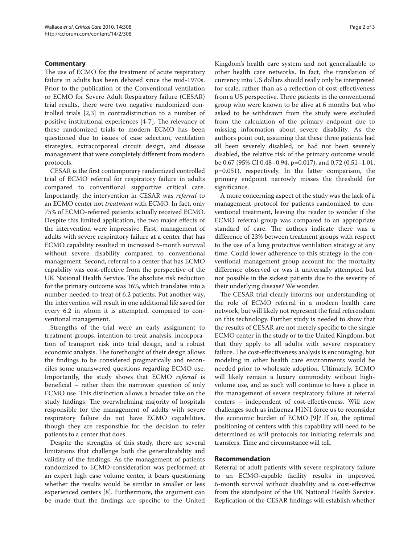#### **Commentary**

The use of ECMO for the treatment of acute respiratory failure in adults has been debated since the mid-1970s. Prior to the publication of the Conventional ventilation or ECMO for Severe Adult Respiratory failure (CESAR) trial results, there were two negative randomized controlled trials [2,3] in contradistinction to a number of positive institutional experiences [4-7]. The relevancy of these randomized trials to modern ECMO has been questioned due to issues of case selection, ventilation strategies, extracorporeal circuit design, and disease management that were completely different from modern protocols.

CESAR is the first contemporary randomized controlled trial of ECMO referral for respiratory failure in adults compared to conventional supportive critical care. Importantly, the intervention in CESAR was *referral* to an ECMO center not *treatment* with ECMO. In fact, only 75% of ECMO-referred patients actually received ECMO. Despite this limited application, the two major effects of the intervention were impressive. First, management of adults with severe respiratory failure at a center that has ECMO capability resulted in increased 6-month survival without severe disability compared to conventional management. Second, referral to a center that has ECMO capability was cost-effective from the perspective of the UK National Health Service. The absolute risk reduction for the primary outcome was 16%, which translates into a number-needed-to-treat of 6.2 patients. Put another way, the intervention will result in one additional life saved for every 6.2 in whom it is attempted, compared to conventional management.

Strengths of the trial were an early assignment to treatment groups, intention-to-treat analysis, incorporation of transport risk into trial design, and a robust economic analysis. The forethought of their design allows the findings to be considered pragmatically and reconciles some unanswered questions regarding ECMO use. Importantly, the study shows that ECMO *referral* is beneficial – rather than the narrower question of only ECMO use. This distinction allows a broader take on the study findings. The overwhelming majority of hospitals responsible for the management of adults with severe respiratory failure do not have ECMO capabilities, though they are responsible for the decision to refer patients to a center that does.

Despite the strengths of this study, there are several limitations that challenge both the generalizability and validity of the findings. As the management of patients randomized to ECMO-consideration was performed at an expert high case volume center, it bears questioning whether the results would be similar in smaller or less experienced centers [8]. Furthermore, the argument can be made that the findings are specific to the United

Kingdom's health care system and not generalizable to other health care networks. In fact, the translation of currency into US dollars should really only be interpreted for scale, rather than as a reflection of cost-effectiveness from a US perspective. Three patients in the conventional group who were known to be alive at 6 months but who asked to be withdrawn from the study were excluded from the calculation of the primary endpoint due to missing information about severe disability. As the authors point out, assuming that these three patients had all been severely disabled, or had not been severely disabled, the relative risk of the primary outcome would be 0.67 (95% CI 0.48–0.94, p=0.017), and 0.72 (0.51–1.01, p=0.051), respectively. In the latter comparison, the primary endpoint narrowly misses the threshold for significance.

A more concerning aspect of the study was the lack of a management protocol for patients randomized to conventional treatment, leaving the reader to wonder if the ECMO referral group was compared to an appropriate standard of care. The authors indicate there was a difference of 23% between treatment groups with respect to the use of a lung protective ventilation strategy at any time. Could lower adherence to this strategy in the conventional management group account for the mortality difference observed or was it universally attempted but not possible in the sickest patients due to the severity of their underlying disease? We wonder.

The CESAR trial clearly informs our understanding of the role of ECMO referral in a modern health care network, but will likely not represent the final referendum on this technology. Further study is needed to show that the results of CESAR are not merely specific to the single ECMO center in the study or to the United Kingdom, but that they apply to all adults with severe respiratory failure. The cost-effectiveness analysis is encouraging, but modeling in other health care environments would be needed prior to wholesale adoption. Ultimately, ECMO will likely remain a luxury commodity without highvolume use, and as such will continue to have a place in the management of severe respiratory failure at referral centers - independent of cost-effectiveness. Will new challenges such as influenza H1N1 force us to reconsider the economic burden of ECMO [9]? If so, the optimal positioning of centers with this capability will need to be determined as will protocols for initiating referrals and transfers. Time and circumstance will tell.

#### **Recommendation**

Referral of adult patients with severe respiratory failure to an ECMO-capable facility results in improved 6-month survival without disability and is cost-effective from the standpoint of the UK National Health Service. Replication of the CESAR findings will establish whether